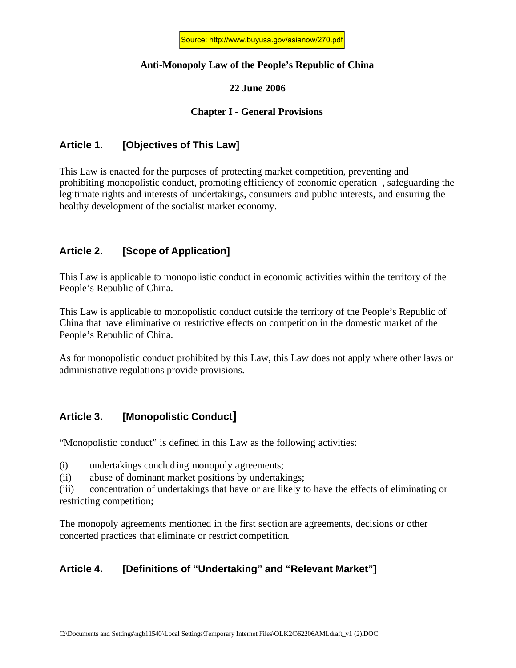#### **Anti-Monopoly Law of the People's Republic of China**

#### **22 June 2006**

#### **Chapter I - General Provisions**

### **Article 1. [Objectives of This Law]**

This Law is enacted for the purposes of protecting market competition, preventing and prohibiting monopolistic conduct, promoting efficiency of economic operation , safeguarding the legitimate rights and interests of undertakings, consumers and public interests, and ensuring the healthy development of the socialist market economy.

## **Article 2. [Scope of Application]**

This Law is applicable to monopolistic conduct in economic activities within the territory of the People's Republic of China.

This Law is applicable to monopolistic conduct outside the territory of the People's Republic of China that have eliminative or restrictive effects on competition in the domestic market of the People's Republic of China.

As for monopolistic conduct prohibited by this Law, this Law does not apply where other laws or administrative regulations provide provisions.

## **Article 3. [Monopolistic Conduct]**

"Monopolistic conduct" is defined in this Law as the following activities:

(i) undertakings concluding monopoly agreements;

(ii) abuse of dominant market positions by undertakings;

(iii) concentration of undertakings that have or are likely to have the effects of eliminating or restricting competition;

The monopoly agreements mentioned in the first section are agreements, decisions or other concerted practices that eliminate or restrict competition.

## **Article 4. [Definitions of "Undertaking" and "Relevant Market"]**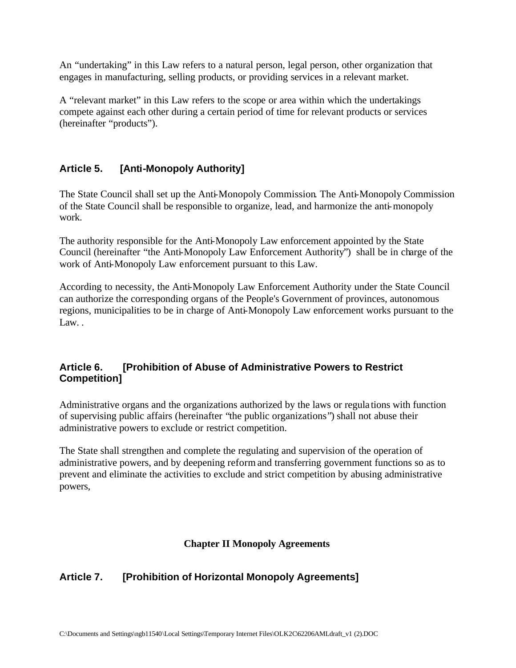An "undertaking" in this Law refers to a natural person, legal person, other organization that engages in manufacturing, selling products, or providing services in a relevant market.

A "relevant market" in this Law refers to the scope or area within which the undertakings compete against each other during a certain period of time for relevant products or services (hereinafter "products").

## **Article 5. [Anti-Monopoly Authority]**

The State Council shall set up the Anti-Monopoly Commission. The Anti-Monopoly Commission of the State Council shall be responsible to organize, lead, and harmonize the anti-monopoly work.

The authority responsible for the Anti-Monopoly Law enforcement appointed by the State Council (hereinafter "the Anti-Monopoly Law Enforcement Authority") shall be in charge of the work of Anti-Monopoly Law enforcement pursuant to this Law.

According to necessity, the Anti-Monopoly Law Enforcement Authority under the State Council can authorize the corresponding organs of the People's Government of provinces, autonomous regions, municipalities to be in charge of Anti-Monopoly Law enforcement works pursuant to the Law.

## **Article 6. [Prohibition of Abuse of Administrative Powers to Restrict Competition]**

Administrative organs and the organizations authorized by the laws or regula tions with function of supervising public affairs (hereinafter "the public organizations") shall not abuse their administrative powers to exclude or restrict competition.

The State shall strengthen and complete the regulating and supervision of the operation of administrative powers, and by deepening reform and transferring government functions so as to prevent and eliminate the activities to exclude and strict competition by abusing administrative powers,

## **Chapter II Monopoly Agreements**

# **Article 7. [Prohibition of Horizontal Monopoly Agreements]**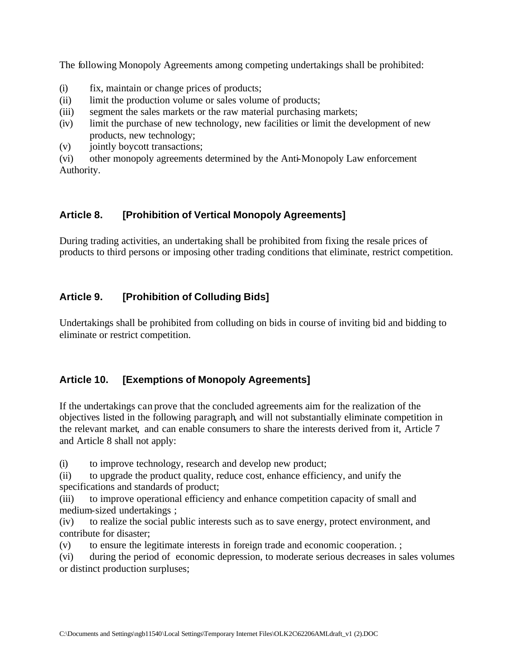The following Monopoly Agreements among competing undertakings shall be prohibited:

- (i) fix, maintain or change prices of products;
- (ii) limit the production volume or sales volume of products;
- (iii) segment the sales markets or the raw material purchasing markets;
- (iv) limit the purchase of new technology, new facilities or limit the development of new products, new technology;
- (v) jointly boycott transactions;

(vi) other monopoly agreements determined by the Anti-Monopoly Law enforcement Authority.

### **Article 8. [Prohibition of Vertical Monopoly Agreements]**

During trading activities, an undertaking shall be prohibited from fixing the resale prices of products to third persons or imposing other trading conditions that eliminate, restrict competition.

## **Article 9. [Prohibition of Colluding Bids]**

Undertakings shall be prohibited from colluding on bids in course of inviting bid and bidding to eliminate or restrict competition.

## **Article 10. [Exemptions of Monopoly Agreements]**

If the undertakings can prove that the concluded agreements aim for the realization of the objectives listed in the following paragraph, and will not substantially eliminate competition in the relevant market, and can enable consumers to share the interests derived from it, Article 7 and Article 8 shall not apply:

(i) to improve technology, research and develop new product;

(ii) to upgrade the product quality, reduce cost, enhance efficiency, and unify the specifications and standards of product;

(iii) to improve operational efficiency and enhance competition capacity of small and medium-sized undertakings ;

(iv) to realize the social public interests such as to save energy, protect environment, and contribute for disaster;

(v) to ensure the legitimate interests in foreign trade and economic cooperation. ;

(vi) during the period of economic depression, to moderate serious decreases in sales volumes or distinct production surpluses;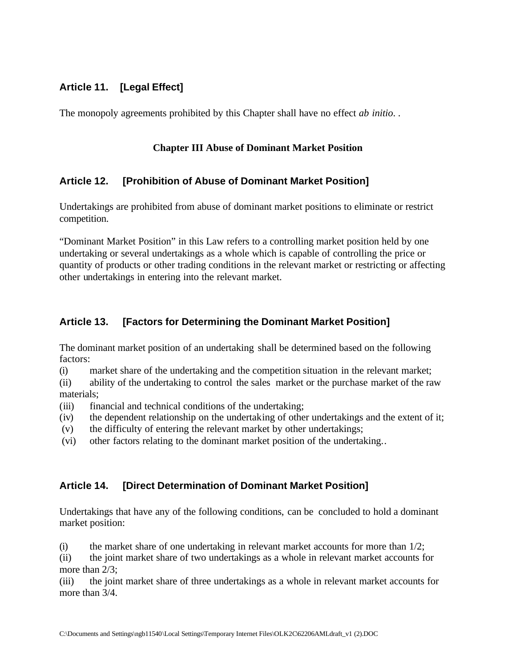## **Article 11. [Legal Effect]**

The monopoly agreements prohibited by this Chapter shall have no effect *ab initio*. .

#### **Chapter III Abuse of Dominant Market Position**

### **Article 12. [Prohibition of Abuse of Dominant Market Position]**

Undertakings are prohibited from abuse of dominant market positions to eliminate or restrict competition.

"Dominant Market Position" in this Law refers to a controlling market position held by one undertaking or several undertakings as a whole which is capable of controlling the price or quantity of products or other trading conditions in the relevant market or restricting or affecting other undertakings in entering into the relevant market.

## **Article 13. [Factors for Determining the Dominant Market Position]**

The dominant market position of an undertaking shall be determined based on the following factors:

(i) market share of the undertaking and the competition situation in the relevant market;

(ii) ability of the undertaking to control the sales market or the purchase market of the raw materials;

- (iii) financial and technical conditions of the undertaking;
- (iv) the dependent relationship on the undertaking of other undertakings and the extent of it;
- (v) the difficulty of entering the relevant market by other undertakings;
- (vi) other factors relating to the dominant market position of the undertaking..

## **Article 14. [Direct Determination of Dominant Market Position]**

Undertakings that have any of the following conditions, can be concluded to hold a dominant market position:

(i) the market share of one undertaking in relevant market accounts for more than  $1/2$ ;

(ii) the joint market share of two undertakings as a whole in relevant market accounts for more than  $2/3$ :

(iii) the joint market share of three undertakings as a whole in relevant market accounts for more than  $3/4$ .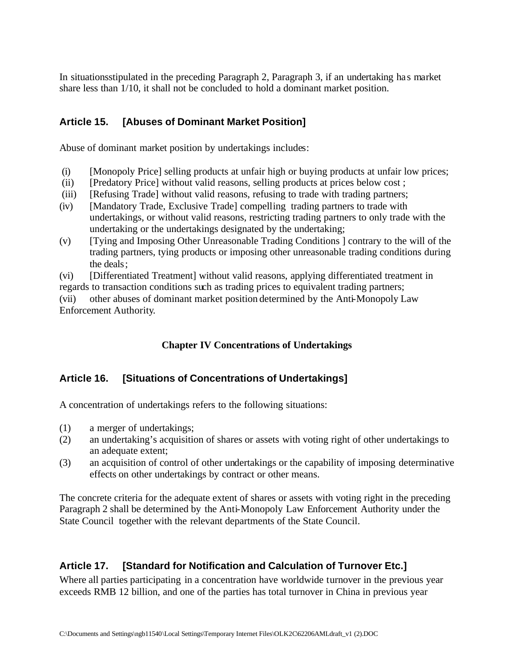In situationsstipulated in the preceding Paragraph 2, Paragraph 3, if an undertaking has market share less than 1/10, it shall not be concluded to hold a dominant market position.

# **Article 15. [Abuses of Dominant Market Position]**

Abuse of dominant market position by undertakings includes:

- (i) [Monopoly Price] selling products at unfair high or buying products at unfair low prices;
- (ii) [Predatory Price] without valid reasons, selling products at prices below cost ;
- (iii) [Refusing Trade] without valid reasons, refusing to trade with trading partners;
- (iv) [Mandatory Trade, Exclusive Trade] compelling trading partners to trade with undertakings, or without valid reasons, restricting trading partners to only trade with the undertaking or the undertakings designated by the undertaking;
- (v) [Tying and Imposing Other Unreasonable Trading Conditions ] contrary to the will of the trading partners, tying products or imposing other unreasonable trading conditions during the deals;

(vi) [Differentiated Treatment] without valid reasons, applying differentiated treatment in regards to transaction conditions such as trading prices to equivalent trading partners;

(vii) other abuses of dominant market position determined by the Anti-Monopoly Law Enforcement Authority.

## **Chapter IV Concentrations of Undertakings**

## **Article 16. [Situations of Concentrations of Undertakings]**

A concentration of undertakings refers to the following situations:

- (1) a merger of undertakings;
- (2) an undertaking's acquisition of shares or assets with voting right of other undertakings to an adequate extent;
- (3) an acquisition of control of other undertakings or the capability of imposing determinative effects on other undertakings by contract or other means.

The concrete criteria for the adequate extent of shares or assets with voting right in the preceding Paragraph 2 shall be determined by the Anti-Monopoly Law Enforcement Authority under the State Council together with the relevant departments of the State Council.

# **Article 17. [Standard for Notification and Calculation of Turnover Etc.]**

Where all parties participating in a concentration have worldwide turnover in the previous year exceeds RMB 12 billion, and one of the parties has total turnover in China in previous year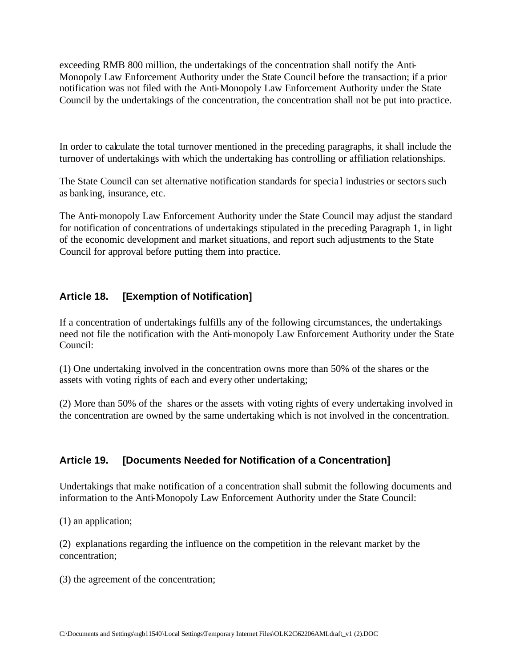exceeding RMB 800 million, the undertakings of the concentration shall notify the Anti-Monopoly Law Enforcement Authority under the State Council before the transaction; if a prior notification was not filed with the Anti-Monopoly Law Enforcement Authority under the State Council by the undertakings of the concentration, the concentration shall not be put into practice.

In order to calculate the total turnover mentioned in the preceding paragraphs, it shall include the turnover of undertakings with which the undertaking has controlling or affiliation relationships.

The State Council can set alternative notification standards for specia l industries or sectors such as banking, insurance, etc.

The Anti-monopoly Law Enforcement Authority under the State Council may adjust the standard for notification of concentrations of undertakings stipulated in the preceding Paragraph 1, in light of the economic development and market situations, and report such adjustments to the State Council for approval before putting them into practice.

# **Article 18. [Exemption of Notification]**

If a concentration of undertakings fulfills any of the following circumstances, the undertakings need not file the notification with the Anti-monopoly Law Enforcement Authority under the State Council:

(1) One undertaking involved in the concentration owns more than 50% of the shares or the assets with voting rights of each and every other undertaking;

(2) More than 50% of the shares or the assets with voting rights of every undertaking involved in the concentration are owned by the same undertaking which is not involved in the concentration.

## **Article 19. [Documents Needed for Notification of a Concentration]**

Undertakings that make notification of a concentration shall submit the following documents and information to the Anti-Monopoly Law Enforcement Authority under the State Council:

(1) an application;

(2) explanations regarding the influence on the competition in the relevant market by the concentration;

(3) the agreement of the concentration;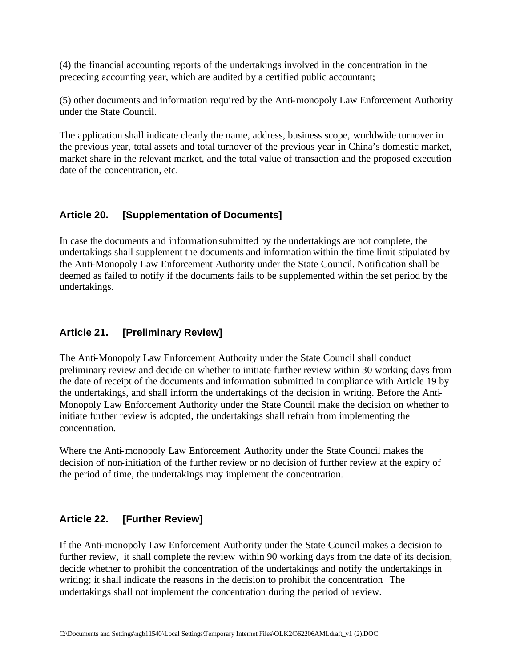(4) the financial accounting reports of the undertakings involved in the concentration in the preceding accounting year, which are audited by a certified public accountant;

(5) other documents and information required by the Anti-monopoly Law Enforcement Authority under the State Council.

The application shall indicate clearly the name, address, business scope, worldwide turnover in the previous year, total assets and total turnover of the previous year in China's domestic market, market share in the relevant market, and the total value of transaction and the proposed execution date of the concentration, etc.

### **Article 20. [Supplementation of Documents]**

In case the documents and information submitted by the undertakings are not complete, the undertakings shall supplement the documents and information within the time limit stipulated by the Anti-Monopoly Law Enforcement Authority under the State Council. Notification shall be deemed as failed to notify if the documents fails to be supplemented within the set period by the undertakings.

## **Article 21. [Preliminary Review]**

The Anti-Monopoly Law Enforcement Authority under the State Council shall conduct preliminary review and decide on whether to initiate further review within 30 working days from the date of receipt of the documents and information submitted in compliance with Article 19 by the undertakings, and shall inform the undertakings of the decision in writing. Before the Anti-Monopoly Law Enforcement Authority under the State Council make the decision on whether to initiate further review is adopted, the undertakings shall refrain from implementing the concentration.

Where the Anti-monopoly Law Enforcement Authority under the State Council makes the decision of non-initiation of the further review or no decision of further review at the expiry of the period of time, the undertakings may implement the concentration.

## **Article 22. [Further Review]**

If the Anti-monopoly Law Enforcement Authority under the State Council makes a decision to further review, it shall complete the review within 90 working days from the date of its decision, decide whether to prohibit the concentration of the undertakings and notify the undertakings in writing; it shall indicate the reasons in the decision to prohibit the concentration. The undertakings shall not implement the concentration during the period of review.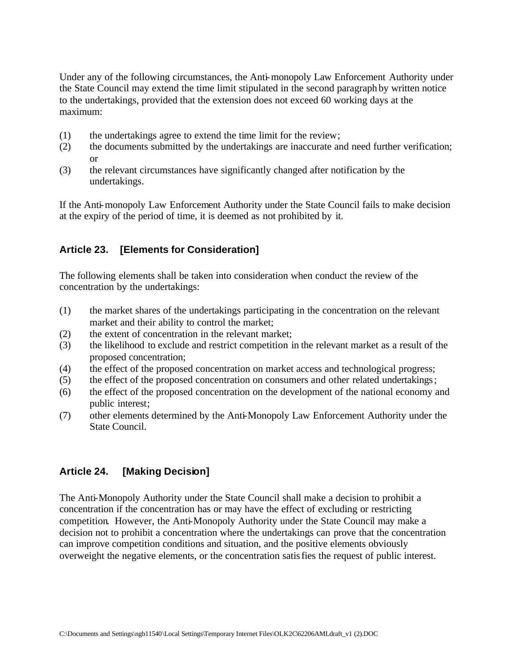Under any of the following circumstances, the Anti-monopoly Law Enforcement Authority under the State Council may extend the time limit stipulated in the second paragraph by written notice to the undertakings, provided that the extension does not exceed 60 working days at the maximum:

- (1) the undertakings agree to extend the time limit for the review;
- (2) the documents submitted by the undertakings are inaccurate and need further verification; or
- (3) the relevant circumstances have significantly changed after notification by the undertakings.

If the Anti-monopoly Law Enforcement Authority under the State Council fails to make decision at the expiry of the period of time, it is deemed as not prohibited by it.

## **Article 23. [Elements for Consideration]**

The following elements shall be taken into consideration when conduct the review of the concentration by the undertakings:

- (1) the market shares of the undertakings participating in the concentration on the relevant market and their ability to control the market;
- (2) the extent of concentration in the relevant market;
- (3) the likelihood to exclude and restrict competition in the relevant market as a result of the proposed concentration;
- (4) the effect of the proposed concentration on market access and technological progress;
- (5) the effect of the proposed concentration on consumers and other related undertakings;
- (6) the effect of the proposed concentration on the development of the national economy and public interest;
- (7) other elements determined by the Anti-Monopoly Law Enforcement Authority under the State Council.

### **Article 24. [Making Decision]**

The Anti-Monopoly Authority under the State Council shall make a decision to prohibit a concentration if the concentration has or may have the effect of excluding or restricting competition. However, the Anti-Monopoly Authority under the State Council may make a decision not to prohibit a concentration where the undertakings can prove that the concentration can improve competition conditions and situation, and the positive elements obviously overweight the negative elements, or the concentration satisfies the request of public interest.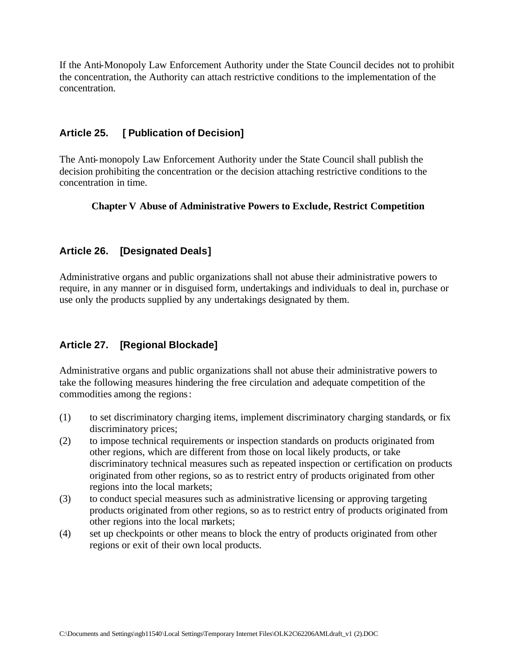If the Anti-Monopoly Law Enforcement Authority under the State Council decides not to prohibit the concentration, the Authority can attach restrictive conditions to the implementation of the concentration.

## **Article 25. [ Publication of Decision]**

The Anti-monopoly Law Enforcement Authority under the State Council shall publish the decision prohibiting the concentration or the decision attaching restrictive conditions to the concentration in time.

### **Chapter V Abuse of Administrative Powers to Exclude, Restrict Competition**

# **Article 26. [Designated Deals]**

Administrative organs and public organizations shall not abuse their administrative powers to require, in any manner or in disguised form, undertakings and individuals to deal in, purchase or use only the products supplied by any undertakings designated by them.

## **Article 27. [Regional Blockade]**

Administrative organs and public organizations shall not abuse their administrative powers to take the following measures hindering the free circulation and adequate competition of the commodities among the regions:

- (1) to set discriminatory charging items, implement discriminatory charging standards, or fix discriminatory prices;
- (2) to impose technical requirements or inspection standards on products originated from other regions, which are different from those on local likely products, or take discriminatory technical measures such as repeated inspection or certification on products originated from other regions, so as to restrict entry of products originated from other regions into the local markets;
- (3) to conduct special measures such as administrative licensing or approving targeting products originated from other regions, so as to restrict entry of products originated from other regions into the local markets;
- (4) set up checkpoints or other means to block the entry of products originated from other regions or exit of their own local products.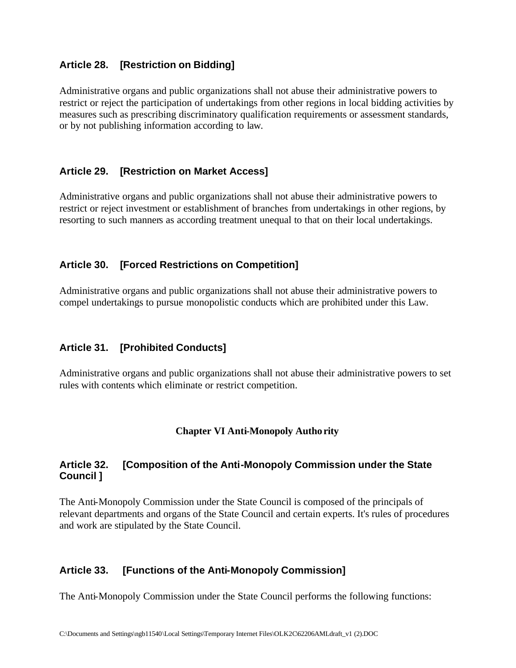### **Article 28. [Restriction on Bidding]**

Administrative organs and public organizations shall not abuse their administrative powers to restrict or reject the participation of undertakings from other regions in local bidding activities by measures such as prescribing discriminatory qualification requirements or assessment standards, or by not publishing information according to law.

### **Article 29. [Restriction on Market Access]**

Administrative organs and public organizations shall not abuse their administrative powers to restrict or reject investment or establishment of branches from undertakings in other regions, by resorting to such manners as according treatment unequal to that on their local undertakings.

### **Article 30. [Forced Restrictions on Competition]**

Administrative organs and public organizations shall not abuse their administrative powers to compel undertakings to pursue monopolistic conducts which are prohibited under this Law.

### **Article 31. [Prohibited Conducts]**

Administrative organs and public organizations shall not abuse their administrative powers to set rules with contents which eliminate or restrict competition.

### **Chapter VI Anti-Monopoly Authority**

### **Article 32. [Composition of the Anti-Monopoly Commission under the State Council ]**

The Anti-Monopoly Commission under the State Council is composed of the principals of relevant departments and organs of the State Council and certain experts. It's rules of procedures and work are stipulated by the State Council.

### **Article 33. [Functions of the Anti-Monopoly Commission]**

The Anti-Monopoly Commission under the State Council performs the following functions: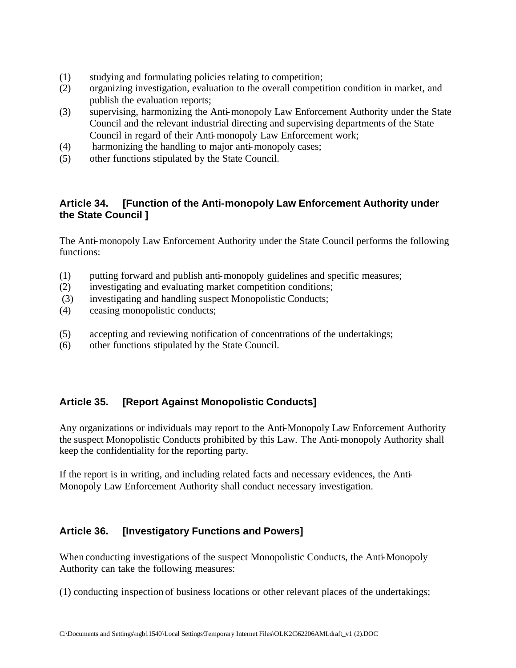- (1) studying and formulating policies relating to competition;
- (2) organizing investigation, evaluation to the overall competition condition in market, and publish the evaluation reports;
- (3) supervising, harmonizing the Anti-monopoly Law Enforcement Authority under the State Council and the relevant industrial directing and supervising departments of the State Council in regard of their Anti-monopoly Law Enforcement work;
- (4) harmonizing the handling to major anti-monopoly cases;
- (5) other functions stipulated by the State Council.

### **Article 34. [Function of the Anti-monopoly Law Enforcement Authority under the State Council ]**

The Anti-monopoly Law Enforcement Authority under the State Council performs the following functions:

- (1) putting forward and publish anti-monopoly guidelines and specific measures;
- (2) investigating and evaluating market competition conditions;
- (3) investigating and handling suspect Monopolistic Conducts;
- (4) ceasing monopolistic conducts;
- (5) accepting and reviewing notification of concentrations of the undertakings;
- (6) other functions stipulated by the State Council.

## **Article 35. [Report Against Monopolistic Conducts]**

Any organizations or individuals may report to the Anti-Monopoly Law Enforcement Authority the suspect Monopolistic Conducts prohibited by this Law. The Anti-monopoly Authority shall keep the confidentiality for the reporting party.

If the report is in writing, and including related facts and necessary evidences, the Anti-Monopoly Law Enforcement Authority shall conduct necessary investigation.

### **Article 36. [Investigatory Functions and Powers]**

When conducting investigations of the suspect Monopolistic Conducts, the Anti-Monopoly Authority can take the following measures:

(1) conducting inspection of business locations or other relevant places of the undertakings;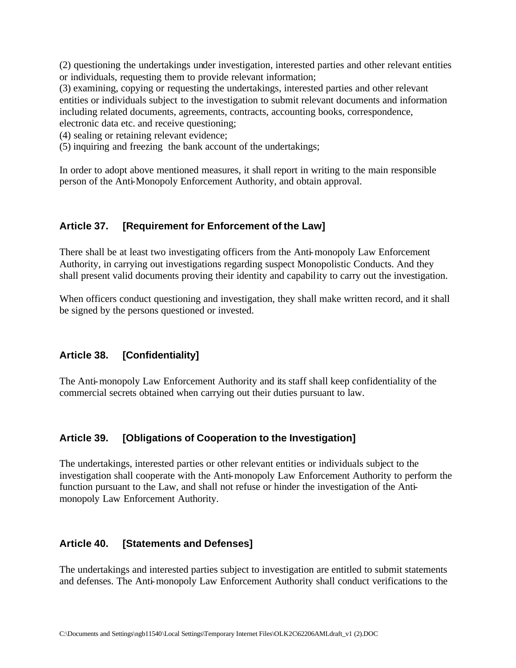(2) questioning the undertakings under investigation, interested parties and other relevant entities or individuals, requesting them to provide relevant information;

(3) examining, copying or requesting the undertakings, interested parties and other relevant entities or individuals subject to the investigation to submit relevant documents and information including related documents, agreements, contracts, accounting books, correspondence, electronic data etc. and receive questioning;

(4) sealing or retaining relevant evidence;

(5) inquiring and freezing the bank account of the undertakings;

In order to adopt above mentioned measures, it shall report in writing to the main responsible person of the Anti-Monopoly Enforcement Authority, and obtain approval.

### **Article 37. [Requirement for Enforcement of the Law]**

There shall be at least two investigating officers from the Anti-monopoly Law Enforcement Authority, in carrying out investigations regarding suspect Monopolistic Conducts. And they shall present valid documents proving their identity and capability to carry out the investigation.

When officers conduct questioning and investigation, they shall make written record, and it shall be signed by the persons questioned or invested.

## **Article 38. [Confidentiality]**

The Anti-monopoly Law Enforcement Authority and its staff shall keep confidentiality of the commercial secrets obtained when carrying out their duties pursuant to law.

### **Article 39. [Obligations of Cooperation to the Investigation]**

The undertakings, interested parties or other relevant entities or individuals subject to the investigation shall cooperate with the Anti-monopoly Law Enforcement Authority to perform the function pursuant to the Law, and shall not refuse or hinder the investigation of the Antimonopoly Law Enforcement Authority.

### **Article 40. [Statements and Defenses]**

The undertakings and interested parties subject to investigation are entitled to submit statements and defenses. The Anti-monopoly Law Enforcement Authority shall conduct verifications to the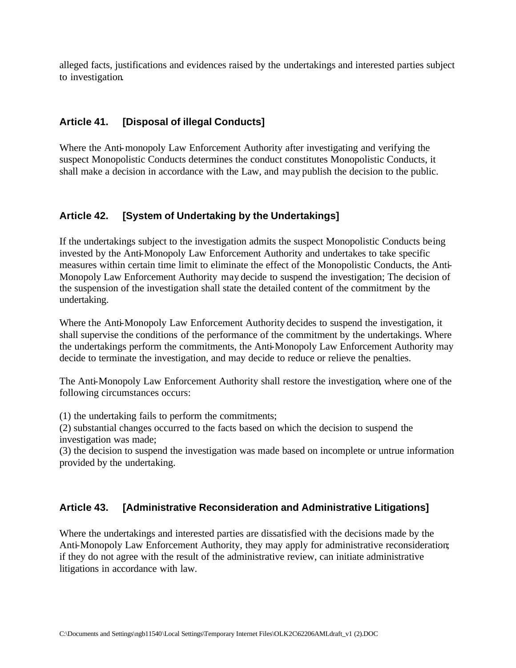alleged facts, justifications and evidences raised by the undertakings and interested parties subject to investigation.

### **Article 41. [Disposal of illegal Conducts]**

Where the Anti-monopoly Law Enforcement Authority after investigating and verifying the suspect Monopolistic Conducts determines the conduct constitutes Monopolistic Conducts, it shall make a decision in accordance with the Law, and may publish the decision to the public.

### **Article 42. [System of Undertaking by the Undertakings]**

If the undertakings subject to the investigation admits the suspect Monopolistic Conducts being invested by the Anti-Monopoly Law Enforcement Authority and undertakes to take specific measures within certain time limit to eliminate the effect of the Monopolistic Conducts, the Anti-Monopoly Law Enforcement Authority may decide to suspend the investigation; The decision of the suspension of the investigation shall state the detailed content of the commitment by the undertaking.

Where the Anti-Monopoly Law Enforcement Authority decides to suspend the investigation, it shall supervise the conditions of the performance of the commitment by the undertakings. Where the undertakings perform the commitments, the Anti-Monopoly Law Enforcement Authority may decide to terminate the investigation, and may decide to reduce or relieve the penalties.

The Anti-Monopoly Law Enforcement Authority shall restore the investigation, where one of the following circumstances occurs:

(1) the undertaking fails to perform the commitments;

(2) substantial changes occurred to the facts based on which the decision to suspend the investigation was made;

(3) the decision to suspend the investigation was made based on incomplete or untrue information provided by the undertaking.

### **Article 43. [Administrative Reconsideration and Administrative Litigations]**

Where the undertakings and interested parties are dissatisfied with the decisions made by the Anti-Monopoly Law Enforcement Authority, they may apply for administrative reconsideration; if they do not agree with the result of the administrative review, can initiate administrative litigations in accordance with law.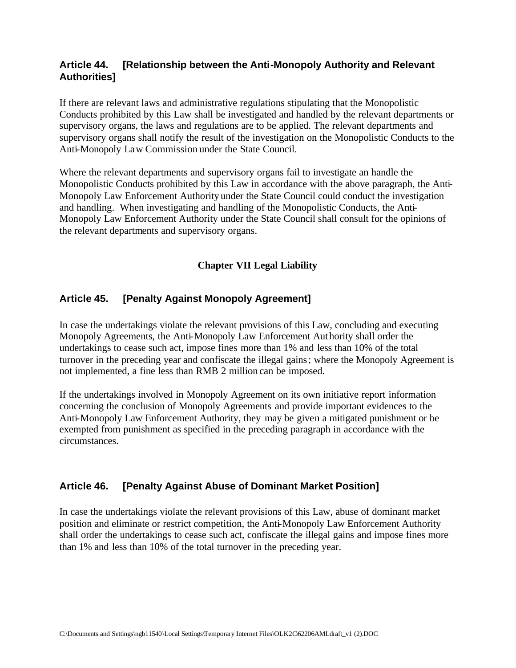### **Article 44. [Relationship between the Anti-Monopoly Authority and Relevant Authorities]**

If there are relevant laws and administrative regulations stipulating that the Monopolistic Conducts prohibited by this Law shall be investigated and handled by the relevant departments or supervisory organs, the laws and regulations are to be applied. The relevant departments and supervisory organs shall notify the result of the investigation on the Monopolistic Conducts to the Anti-Monopoly Law Commission under the State Council.

Where the relevant departments and supervisory organs fail to investigate an handle the Monopolistic Conducts prohibited by this Law in accordance with the above paragraph, the Anti-Monopoly Law Enforcement Authority under the State Council could conduct the investigation and handling. When investigating and handling of the Monopolistic Conducts, the Anti-Monopoly Law Enforcement Authority under the State Council shall consult for the opinions of the relevant departments and supervisory organs.

### **Chapter VII Legal Liability**

#### **Article 45. [Penalty Against Monopoly Agreement]**

In case the undertakings violate the relevant provisions of this Law, concluding and executing Monopoly Agreements, the Anti-Monopoly Law Enforcement Authority shall order the undertakings to cease such act, impose fines more than 1% and less than 10% of the total turnover in the preceding year and confiscate the illegal gains; where the Monopoly Agreement is not implemented, a fine less than RMB 2 million can be imposed.

If the undertakings involved in Monopoly Agreement on its own initiative report information concerning the conclusion of Monopoly Agreements and provide important evidences to the Anti-Monopoly Law Enforcement Authority, they may be given a mitigated punishment or be exempted from punishment as specified in the preceding paragraph in accordance with the circumstances.

#### **Article 46. [Penalty Against Abuse of Dominant Market Position]**

In case the undertakings violate the relevant provisions of this Law, abuse of dominant market position and eliminate or restrict competition, the Anti-Monopoly Law Enforcement Authority shall order the undertakings to cease such act, confiscate the illegal gains and impose fines more than 1% and less than 10% of the total turnover in the preceding year.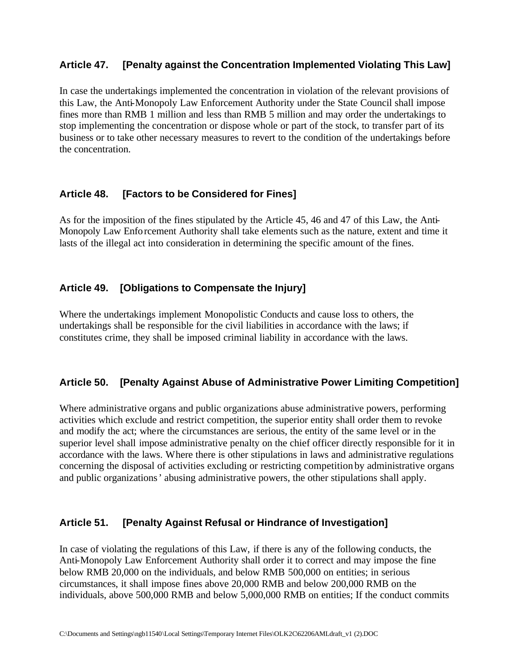### **Article 47. [Penalty against the Concentration Implemented Violating This Law]**

In case the undertakings implemented the concentration in violation of the relevant provisions of this Law, the Anti-Monopoly Law Enforcement Authority under the State Council shall impose fines more than RMB 1 million and less than RMB 5 million and may order the undertakings to stop implementing the concentration or dispose whole or part of the stock, to transfer part of its business or to take other necessary measures to revert to the condition of the undertakings before the concentration.

### **Article 48. [Factors to be Considered for Fines]**

As for the imposition of the fines stipulated by the Article 45, 46 and 47 of this Law, the Anti-Monopoly Law Enforcement Authority shall take elements such as the nature, extent and time it lasts of the illegal act into consideration in determining the specific amount of the fines.

### **Article 49. [Obligations to Compensate the Injury]**

Where the undertakings implement Monopolistic Conducts and cause loss to others, the undertakings shall be responsible for the civil liabilities in accordance with the laws; if constitutes crime, they shall be imposed criminal liability in accordance with the laws.

## **Article 50. [Penalty Against Abuse of Administrative Power Limiting Competition]**

Where administrative organs and public organizations abuse administrative powers, performing activities which exclude and restrict competition, the superior entity shall order them to revoke and modify the act; where the circumstances are serious, the entity of the same level or in the superior level shall impose administrative penalty on the chief officer directly responsible for it in accordance with the laws. Where there is other stipulations in laws and administrative regulations concerning the disposal of activities excluding or restricting competition by administrative organs and public organizations' abusing administrative powers, the other stipulations shall apply.

### **Article 51. [Penalty Against Refusal or Hindrance of Investigation]**

In case of violating the regulations of this Law, if there is any of the following conducts, the Anti-Monopoly Law Enforcement Authority shall order it to correct and may impose the fine below RMB 20,000 on the individuals, and below RMB 500,000 on entities; in serious circumstances, it shall impose fines above 20,000 RMB and below 200,000 RMB on the individuals, above 500,000 RMB and below 5,000,000 RMB on entities; If the conduct commits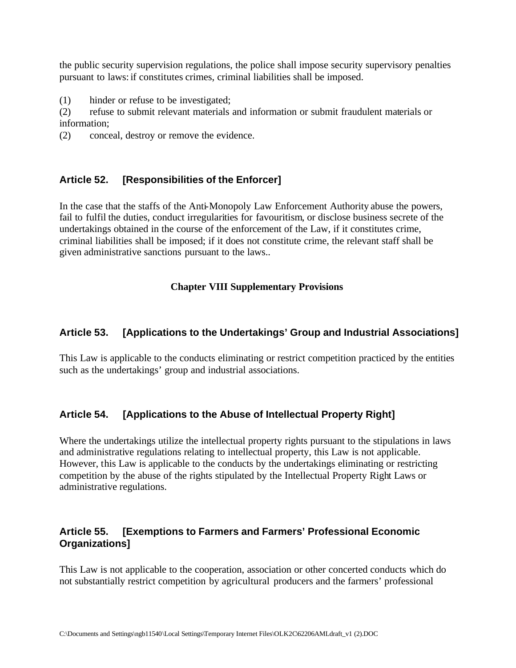the public security supervision regulations, the police shall impose security supervisory penalties pursuant to laws: if constitutes crimes, criminal liabilities shall be imposed.

(1) hinder or refuse to be investigated;

(2) refuse to submit relevant materials and information or submit fraudulent materials or information;

(2) conceal, destroy or remove the evidence.

## **Article 52. [Responsibilities of the Enforcer]**

In the case that the staffs of the Anti-Monopoly Law Enforcement Authority abuse the powers, fail to fulfil the duties, conduct irregularities for favouritism, or disclose business secrete of the undertakings obtained in the course of the enforcement of the Law, if it constitutes crime, criminal liabilities shall be imposed; if it does not constitute crime, the relevant staff shall be given administrative sanctions pursuant to the laws..

### **Chapter VIII Supplementary Provisions**

### **Article 53. [Applications to the Undertakings' Group and Industrial Associations]**

This Law is applicable to the conducts eliminating or restrict competition practiced by the entities such as the undertakings' group and industrial associations.

## **Article 54. [Applications to the Abuse of Intellectual Property Right]**

Where the undertakings utilize the intellectual property rights pursuant to the stipulations in laws and administrative regulations relating to intellectual property, this Law is not applicable. However, this Law is applicable to the conducts by the undertakings eliminating or restricting competition by the abuse of the rights stipulated by the Intellectual Property Right Laws or administrative regulations.

### **Article 55. [Exemptions to Farmers and Farmers' Professional Economic Organizations]**

This Law is not applicable to the cooperation, association or other concerted conducts which do not substantially restrict competition by agricultural producers and the farmers' professional